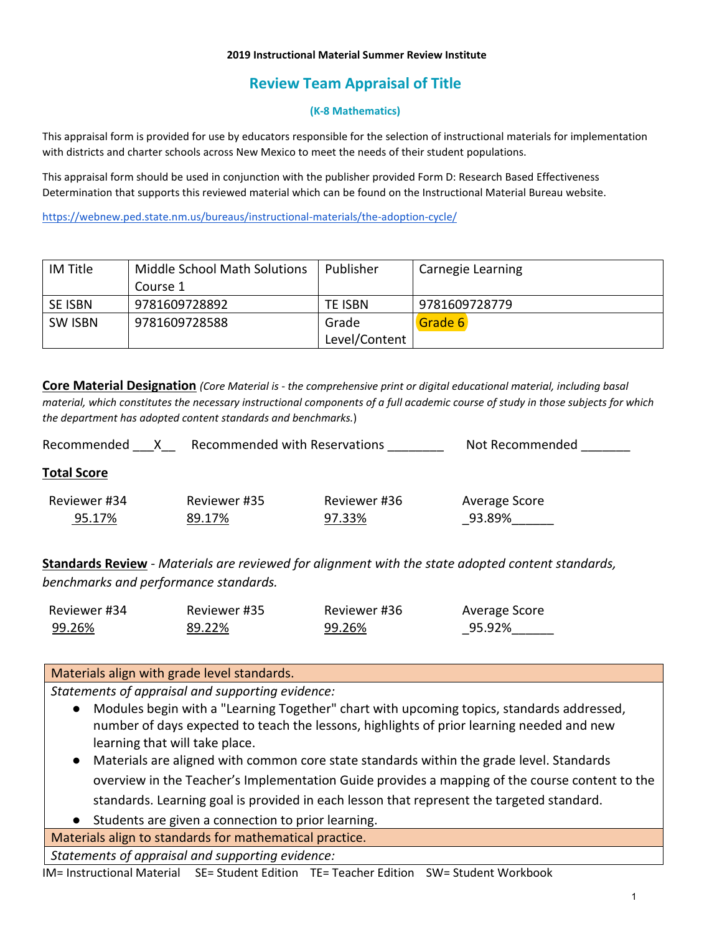#### **2019 Instructional Material Summer Review Institute**

# **Review Team Appraisal of Title**

#### **(K-8 Mathematics)**

This appraisal form is provided for use by educators responsible for the selection of instructional materials for implementation with districts and charter schools across New Mexico to meet the needs of their student populations.

This appraisal form should be used in conjunction with the publisher provided Form D: Research Based Effectiveness Determination that supports this reviewed material which can be found on the Instructional Material Bureau website.

<https://webnew.ped.state.nm.us/bureaus/instructional-materials/the-adoption-cycle/>

| IM Title | Middle School Math Solutions | Publisher     | Carnegie Learning |
|----------|------------------------------|---------------|-------------------|
|          | Course 1                     |               |                   |
| SE ISBN  | 9781609728892                | TE ISBN       | 9781609728779     |
| SW ISBN  | 9781609728588                | Grade         | Grade 6           |
|          |                              | Level/Content |                   |

**Core Material Designation** *(Core Material is - the comprehensive print or digital educational material, including basal material, which constitutes the necessary instructional components of a full academic course of study in those subjects for which the department has adopted content standards and benchmarks.*)

| <b>Recommended with Reservations</b><br>Recommended |                        |                        | Not Recommended         |  |
|-----------------------------------------------------|------------------------|------------------------|-------------------------|--|
| <b>Total Score</b>                                  |                        |                        |                         |  |
| Reviewer #34<br>95.17%                              | Reviewer #35<br>89.17% | Reviewer #36<br>97.33% | Average Score<br>93.89% |  |

**Standards Review** - *Materials are reviewed for alignment with the state adopted content standards, benchmarks and performance standards.*

| Reviewer #34 | Reviewer #35 | Reviewer #36 | Average Score |
|--------------|--------------|--------------|---------------|
| 99.26%       | 89.22%       | 99.26%       | 95.92%        |

### Materials align with grade level standards.

*Statements of appraisal and supporting evidence:*

- Modules begin with a "Learning Together" chart with upcoming topics, standards addressed, number of days expected to teach the lessons, highlights of prior learning needed and new learning that will take place.
- Materials are aligned with common core state standards within the grade level. Standards overview in the Teacher's Implementation Guide provides a mapping of the course content to the standards. Learning goal is provided in each lesson that represent the targeted standard.
- Students are given a connection to prior learning.

Materials align to standards for mathematical practice.

*Statements of appraisal and supporting evidence:*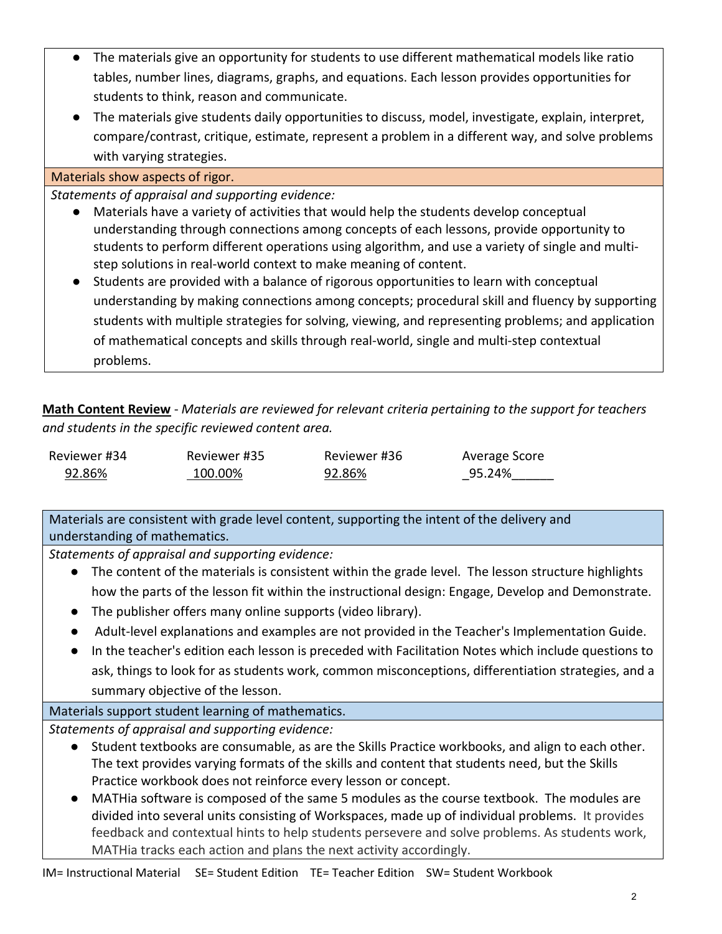- The materials give an opportunity for students to use different mathematical models like ratio tables, number lines, diagrams, graphs, and equations. Each lesson provides opportunities for students to think, reason and communicate.
- The materials give students daily opportunities to discuss, model, investigate, explain, interpret, compare/contrast, critique, estimate, represent a problem in a different way, and solve problems with varying strategies.

### Materials show aspects of rigor.

*Statements of appraisal and supporting evidence:*

- Materials have a variety of activities that would help the students develop conceptual understanding through connections among concepts of each lessons, provide opportunity to students to perform different operations using algorithm, and use a variety of single and multistep solutions in real-world context to make meaning of content.
- Students are provided with a balance of rigorous opportunities to learn with conceptual understanding by making connections among concepts; procedural skill and fluency by supporting students with multiple strategies for solving, viewing, and representing problems; and application of mathematical concepts and skills through real-world, single and multi-step contextual problems.

**Math Content Review** - *Materials are reviewed for relevant criteria pertaining to the support for teachers and students in the specific reviewed content area.*

| Reviewer #34 | Reviewer #35 | Reviewer #36 | Average Score |
|--------------|--------------|--------------|---------------|
| 92.86%       | 100.00%      | 92.86%       | 95.24%        |

Materials are consistent with grade level content, supporting the intent of the delivery and understanding of mathematics.

*Statements of appraisal and supporting evidence:*

- The content of the materials is consistent within the grade level. The lesson structure highlights how the parts of the lesson fit within the instructional design: Engage, Develop and Demonstrate.
- The publisher offers many online supports (video library).
- Adult-level explanations and examples are not provided in the Teacher's Implementation Guide.
- In the teacher's edition each lesson is preceded with Facilitation Notes which include questions to ask, things to look for as students work, common misconceptions, differentiation strategies, and a summary objective of the lesson.

### Materials support student learning of mathematics.

- Student textbooks are consumable, as are the Skills Practice workbooks, and align to each other. The text provides varying formats of the skills and content that students need, but the Skills Practice workbook does not reinforce every lesson or concept.
- MATHia software is composed of the same 5 modules as the course textbook. The modules are divided into several units consisting of Workspaces, made up of individual problems. It provides feedback and contextual hints to help students persevere and solve problems. As students work, MATHia tracks each action and plans the next activity accordingly.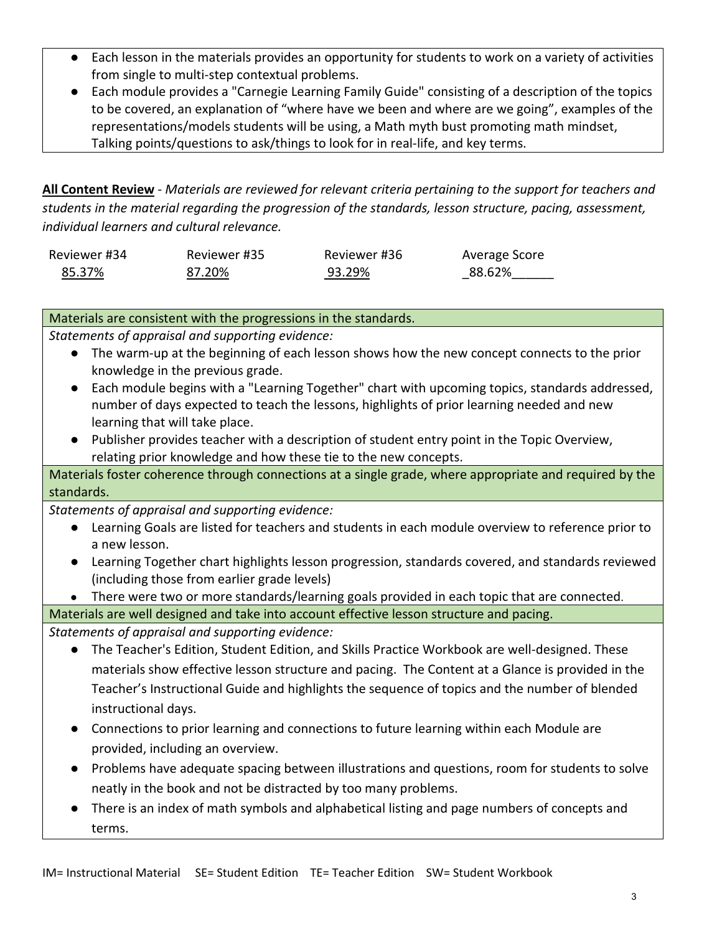- Each lesson in the materials provides an opportunity for students to work on a variety of activities from single to multi-step contextual problems.
- Each module provides a "Carnegie Learning Family Guide" consisting of a description of the topics to be covered, an explanation of "where have we been and where are we going", examples of the representations/models students will be using, a Math myth bust promoting math mindset, Talking points/questions to ask/things to look for in real-life, and key terms.

**All Content Review** - *Materials are reviewed for relevant criteria pertaining to the support for teachers and students in the material regarding the progression of the standards, lesson structure, pacing, assessment, individual learners and cultural relevance.*

| Reviewer #34 | Reviewer #35 | Reviewer #36 | Average Score |
|--------------|--------------|--------------|---------------|
| 85.37%       | 87.20%       | 93.29%       | 88.62%        |

### Materials are consistent with the progressions in the standards.

*Statements of appraisal and supporting evidence:*

- The warm-up at the beginning of each lesson shows how the new concept connects to the prior knowledge in the previous grade.
- Each module begins with a "Learning Together" chart with upcoming topics, standards addressed, number of days expected to teach the lessons, highlights of prior learning needed and new learning that will take place.
- Publisher provides teacher with a description of student entry point in the Topic Overview, relating prior knowledge and how these tie to the new concepts.

Materials foster coherence through connections at a single grade, where appropriate and required by the standards.

*Statements of appraisal and supporting evidence:*

- Learning Goals are listed for teachers and students in each module overview to reference prior to a new lesson.
- Learning Together chart highlights lesson progression, standards covered, and standards reviewed (including those from earlier grade levels)
- There were two or more standards/learning goals provided in each topic that are connected.

Materials are well designed and take into account effective lesson structure and pacing.

- The Teacher's Edition, Student Edition, and Skills Practice Workbook are well-designed. These materials show effective lesson structure and pacing. The Content at a Glance is provided in the Teacher's Instructional Guide and highlights the sequence of topics and the number of blended instructional days.
- Connections to prior learning and connections to future learning within each Module are provided, including an overview.
- Problems have adequate spacing between illustrations and questions, room for students to solve neatly in the book and not be distracted by too many problems.
- There is an index of math symbols and alphabetical listing and page numbers of concepts and terms.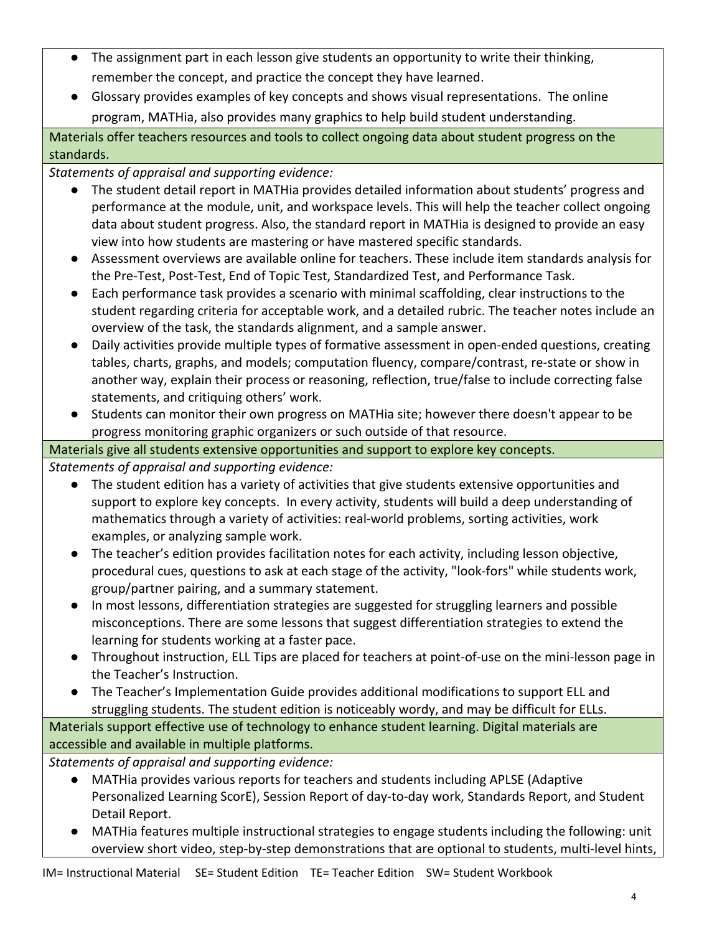- The assignment part in each lesson give students an opportunity to write their thinking, remember the concept, and practice the concept they have learned.
- Glossary provides examples of key concepts and shows visual representations. The online program, MATHia, also provides many graphics to help build student understanding.

Materials offer teachers resources and tools to collect ongoing data about student progress on the standards.

## *Statements of appraisal and supporting evidence:*

- The student detail report in MATHia provides detailed information about students' progress and performance at the module, unit, and workspace levels. This will help the teacher collect ongoing data about student progress. Also, the standard report in MATHia is designed to provide an easy view into how students are mastering or have mastered specific standards.
- Assessment overviews are available online for teachers. These include item standards analysis for the Pre-Test, Post-Test, End of Topic Test, Standardized Test, and Performance Task.
- Each performance task provides a scenario with minimal scaffolding, clear instructions to the student regarding criteria for acceptable work, and a detailed rubric. The teacher notes include an overview of the task, the standards alignment, and a sample answer.
- Daily activities provide multiple types of formative assessment in open-ended questions, creating tables, charts, graphs, and models; computation fluency, compare/contrast, re-state or show in another way, explain their process or reasoning, reflection, true/false to include correcting false statements, and critiquing others' work.
- Students can monitor their own progress on MATHia site; however there doesn't appear to be progress monitoring graphic organizers or such outside of that resource.

## Materials give all students extensive opportunities and support to explore key concepts.

*Statements of appraisal and supporting evidence:*

- The student edition has a variety of activities that give students extensive opportunities and support to explore key concepts. In every activity, students will build a deep understanding of mathematics through a variety of activities: real-world problems, sorting activities, work examples, or analyzing sample work.
- The teacher's edition provides facilitation notes for each activity, including lesson objective, procedural cues, questions to ask at each stage of the activity, "look-fors" while students work, group/partner pairing, and a summary statement.
- In most lessons, differentiation strategies are suggested for struggling learners and possible misconceptions. There are some lessons that suggest differentiation strategies to extend the learning for students working at a faster pace.
- Throughout instruction, ELL Tips are placed for teachers at point-of-use on the mini-lesson page in the Teacher's Instruction.
- The Teacher's Implementation Guide provides additional modifications to support ELL and struggling students. The student edition is noticeably wordy, and may be difficult for ELLs.

Materials support effective use of technology to enhance student learning. Digital materials are accessible and available in multiple platforms.

- MATHia provides various reports for teachers and students including APLSE (Adaptive Personalized Learning ScorE), Session Report of day-to-day work, Standards Report, and Student Detail Report.
- MATHia features multiple instructional strategies to engage students including the following: unit overview short video, step-by-step demonstrations that are optional to students, multi-level hints,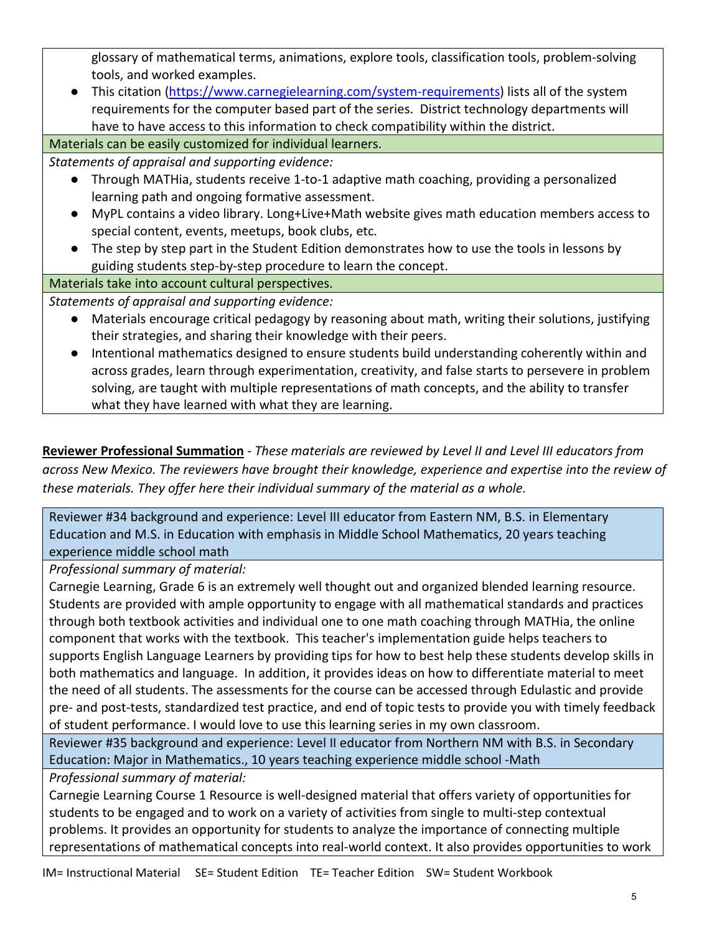glossary of mathematical terms, animations, explore tools, classification tools, problem-solving tools, and worked examples.

● This citation [\(https://www.carnegielearning.com/system-requirements\)](https://www.carnegielearning.com/system-requirements) lists all of the system requirements for the computer based part of the series. District technology departments will have to have access to this information to check compatibility within the district.

Materials can be easily customized for individual learners.

*Statements of appraisal and supporting evidence:*

- Through MATHia, students receive 1-to-1 adaptive math coaching, providing a personalized learning path and ongoing formative assessment.
- MyPL contains a video library. Long+Live+Math website gives math education members access to special content, events, meetups, book clubs, etc.
- The step by step part in the Student Edition demonstrates how to use the tools in lessons by guiding students step-by-step procedure to learn the concept.

## Materials take into account cultural perspectives.

*Statements of appraisal and supporting evidence:*

- Materials encourage critical pedagogy by reasoning about math, writing their solutions, justifying their strategies, and sharing their knowledge with their peers.
- Intentional mathematics designed to ensure students build understanding coherently within and across grades, learn through experimentation, creativity, and false starts to persevere in problem solving, are taught with multiple representations of math concepts, and the ability to transfer what they have learned with what they are learning.

**Reviewer Professional Summation** - *These materials are reviewed by Level II and Level III educators from across New Mexico. The reviewers have brought their knowledge, experience and expertise into the review of these materials. They offer here their individual summary of the material as a whole.* 

Reviewer #34 background and experience: Level III educator from Eastern NM, B.S. in Elementary Education and M.S. in Education with emphasis in Middle School Mathematics, 20 years teaching experience middle school math

*Professional summary of material:*

Carnegie Learning, Grade 6 is an extremely well thought out and organized blended learning resource. Students are provided with ample opportunity to engage with all mathematical standards and practices through both textbook activities and individual one to one math coaching through MATHia, the online component that works with the textbook. This teacher's implementation guide helps teachers to supports English Language Learners by providing tips for how to best help these students develop skills in both mathematics and language. In addition, it provides ideas on how to differentiate material to meet the need of all students. The assessments for the course can be accessed through Edulastic and provide pre- and post-tests, standardized test practice, and end of topic tests to provide you with timely feedback of student performance. I would love to use this learning series in my own classroom.

Reviewer #35 background and experience: Level II educator from Northern NM with B.S. in Secondary Education: Major in Mathematics., 10 years teaching experience middle school -Math

*Professional summary of material:*

Carnegie Learning Course 1 Resource is well-designed material that offers variety of opportunities for students to be engaged and to work on a variety of activities from single to multi-step contextual problems. It provides an opportunity for students to analyze the importance of connecting multiple representations of mathematical concepts into real-world context. It also provides opportunities to work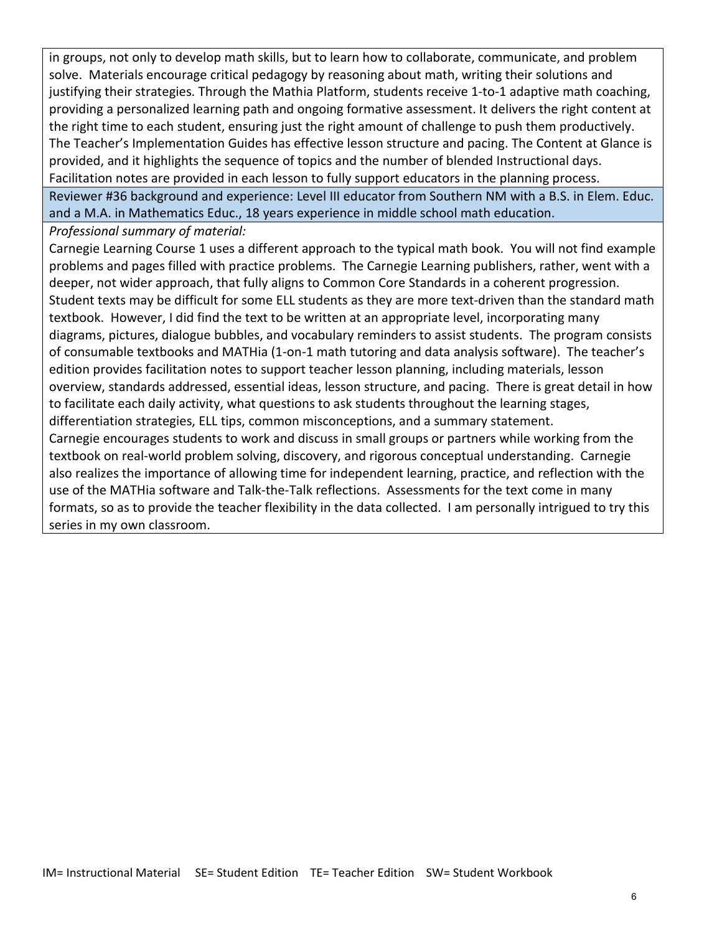in groups, not only to develop math skills, but to learn how to collaborate, communicate, and problem solve. Materials encourage critical pedagogy by reasoning about math, writing their solutions and justifying their strategies. Through the Mathia Platform, students receive 1-to-1 adaptive math coaching, providing a personalized learning path and ongoing formative assessment. It delivers the right content at the right time to each student, ensuring just the right amount of challenge to push them productively. The Teacher's Implementation Guides has effective lesson structure and pacing. The Content at Glance is provided, and it highlights the sequence of topics and the number of blended Instructional days. Facilitation notes are provided in each lesson to fully support educators in the planning process. Reviewer #36 background and experience: Level III educator from Southern NM with a B.S. in Elem. Educ. and a M.A. in Mathematics Educ., 18 years experience in middle school math education.

*Professional summary of material:*

Carnegie Learning Course 1 uses a different approach to the typical math book. You will not find example problems and pages filled with practice problems. The Carnegie Learning publishers, rather, went with a deeper, not wider approach, that fully aligns to Common Core Standards in a coherent progression. Student texts may be difficult for some ELL students as they are more text-driven than the standard math textbook. However, I did find the text to be written at an appropriate level, incorporating many diagrams, pictures, dialogue bubbles, and vocabulary reminders to assist students. The program consists of consumable textbooks and MATHia (1-on-1 math tutoring and data analysis software). The teacher's edition provides facilitation notes to support teacher lesson planning, including materials, lesson overview, standards addressed, essential ideas, lesson structure, and pacing. There is great detail in how to facilitate each daily activity, what questions to ask students throughout the learning stages, differentiation strategies, ELL tips, common misconceptions, and a summary statement. Carnegie encourages students to work and discuss in small groups or partners while working from the textbook on real-world problem solving, discovery, and rigorous conceptual understanding. Carnegie also realizes the importance of allowing time for independent learning, practice, and reflection with the use of the MATHia software and Talk-the-Talk reflections. Assessments for the text come in many formats, so as to provide the teacher flexibility in the data collected. I am personally intrigued to try this series in my own classroom.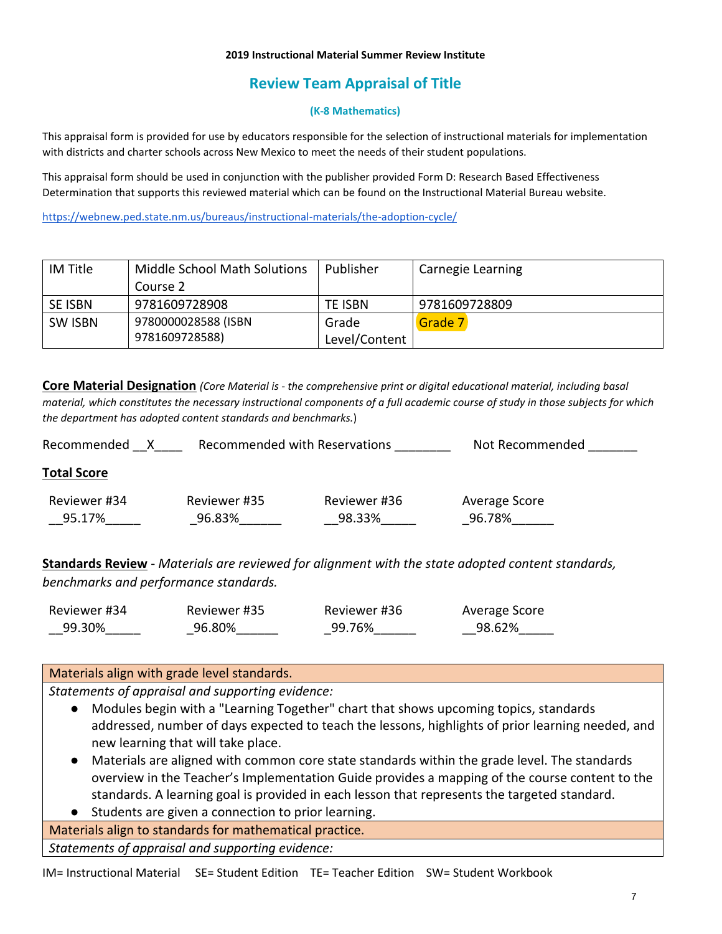#### **2019 Instructional Material Summer Review Institute**

# **Review Team Appraisal of Title**

#### **(K-8 Mathematics)**

This appraisal form is provided for use by educators responsible for the selection of instructional materials for implementation with districts and charter schools across New Mexico to meet the needs of their student populations.

This appraisal form should be used in conjunction with the publisher provided Form D: Research Based Effectiveness Determination that supports this reviewed material which can be found on the Instructional Material Bureau website.

<https://webnew.ped.state.nm.us/bureaus/instructional-materials/the-adoption-cycle/>

| IM Title       | <b>Middle School Math Solutions</b> | Publisher     | Carnegie Learning |
|----------------|-------------------------------------|---------------|-------------------|
|                | Course 2                            |               |                   |
| SE ISBN        | 9781609728908                       | TE ISBN       | 9781609728809     |
| <b>SW ISBN</b> | 9780000028588 (ISBN                 | Grade         | Grade 7           |
|                | 9781609728588)                      | Level/Content |                   |

**Core Material Designation** *(Core Material is - the comprehensive print or digital educational material, including basal material, which constitutes the necessary instructional components of a full academic course of study in those subjects for which the department has adopted content standards and benchmarks.*)

| Recommended with Reservations<br>Recommended |                        |                        | Not Recommended         |  |
|----------------------------------------------|------------------------|------------------------|-------------------------|--|
| <b>Total Score</b>                           |                        |                        |                         |  |
| Reviewer #34<br>95.17%                       | Reviewer #35<br>96.83% | Reviewer #36<br>98.33% | Average Score<br>96.78% |  |

**Standards Review** - *Materials are reviewed for alignment with the state adopted content standards, benchmarks and performance standards.*

| Reviewer #34 | Reviewer #35 | Reviewer #36 | Average Score |
|--------------|--------------|--------------|---------------|
| 99.30%       | 96.80%       | 99.76%       | 98.62%        |

#### Materials align with grade level standards.

*Statements of appraisal and supporting evidence:*

- Modules begin with a "Learning Together" chart that shows upcoming topics, standards addressed, number of days expected to teach the lessons, highlights of prior learning needed, and new learning that will take place.
- Materials are aligned with common core state standards within the grade level. The standards overview in the Teacher's Implementation Guide provides a mapping of the course content to the standards. A learning goal is provided in each lesson that represents the targeted standard.
- Students are given a connection to prior learning.

Materials align to standards for mathematical practice.

*Statements of appraisal and supporting evidence:*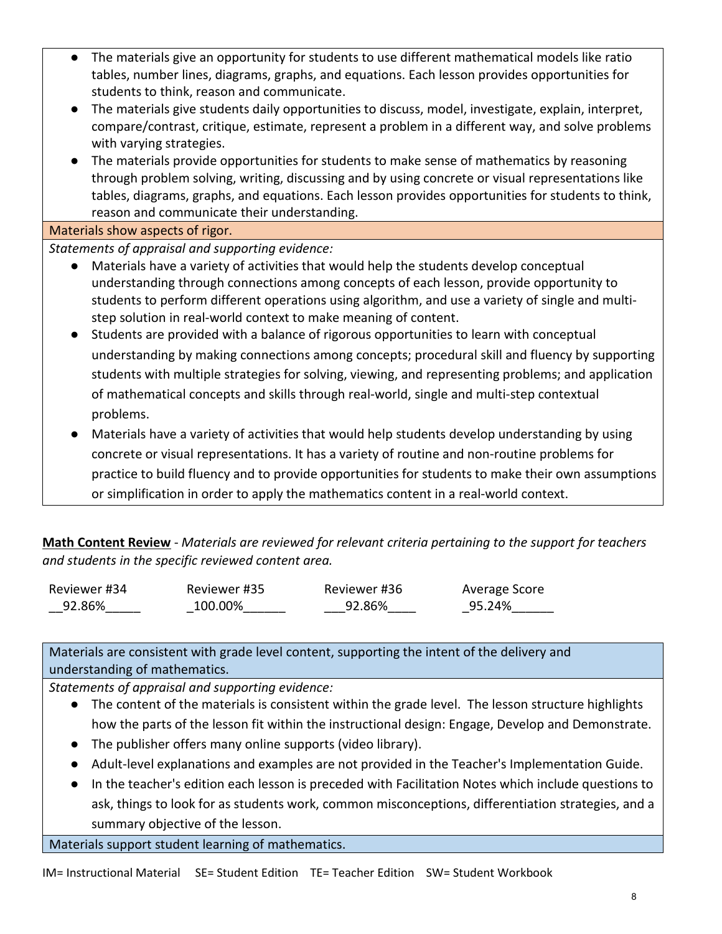- The materials give an opportunity for students to use different mathematical models like ratio tables, number lines, diagrams, graphs, and equations. Each lesson provides opportunities for students to think, reason and communicate.
- The materials give students daily opportunities to discuss, model, investigate, explain, interpret, compare/contrast, critique, estimate, represent a problem in a different way, and solve problems with varying strategies.
- The materials provide opportunities for students to make sense of mathematics by reasoning through problem solving, writing, discussing and by using concrete or visual representations like tables, diagrams, graphs, and equations. Each lesson provides opportunities for students to think, reason and communicate their understanding.

Materials show aspects of rigor.

*Statements of appraisal and supporting evidence:*

- Materials have a variety of activities that would help the students develop conceptual understanding through connections among concepts of each lesson, provide opportunity to students to perform different operations using algorithm, and use a variety of single and multistep solution in real-world context to make meaning of content.
- Students are provided with a balance of rigorous opportunities to learn with conceptual understanding by making connections among concepts; procedural skill and fluency by supporting students with multiple strategies for solving, viewing, and representing problems; and application of mathematical concepts and skills through real-world, single and multi-step contextual problems.
- Materials have a variety of activities that would help students develop understanding by using concrete or visual representations. It has a variety of routine and non-routine problems for practice to build fluency and to provide opportunities for students to make their own assumptions or simplification in order to apply the mathematics content in a real-world context.

**Math Content Review** - *Materials are reviewed for relevant criteria pertaining to the support for teachers and students in the specific reviewed content area.*

| Reviewer #34 | Reviewer #35 | Reviewer #36 | Average Score |
|--------------|--------------|--------------|---------------|
| 92.86%       | 100.00%      | 92.86%       | 95.24%        |

Materials are consistent with grade level content, supporting the intent of the delivery and understanding of mathematics.

*Statements of appraisal and supporting evidence:*

- The content of the materials is consistent within the grade level. The lesson structure highlights how the parts of the lesson fit within the instructional design: Engage, Develop and Demonstrate.
- The publisher offers many online supports (video library).
- Adult-level explanations and examples are not provided in the Teacher's Implementation Guide.
- In the teacher's edition each lesson is preceded with Facilitation Notes which include questions to ask, things to look for as students work, common misconceptions, differentiation strategies, and a summary objective of the lesson.

Materials support student learning of mathematics.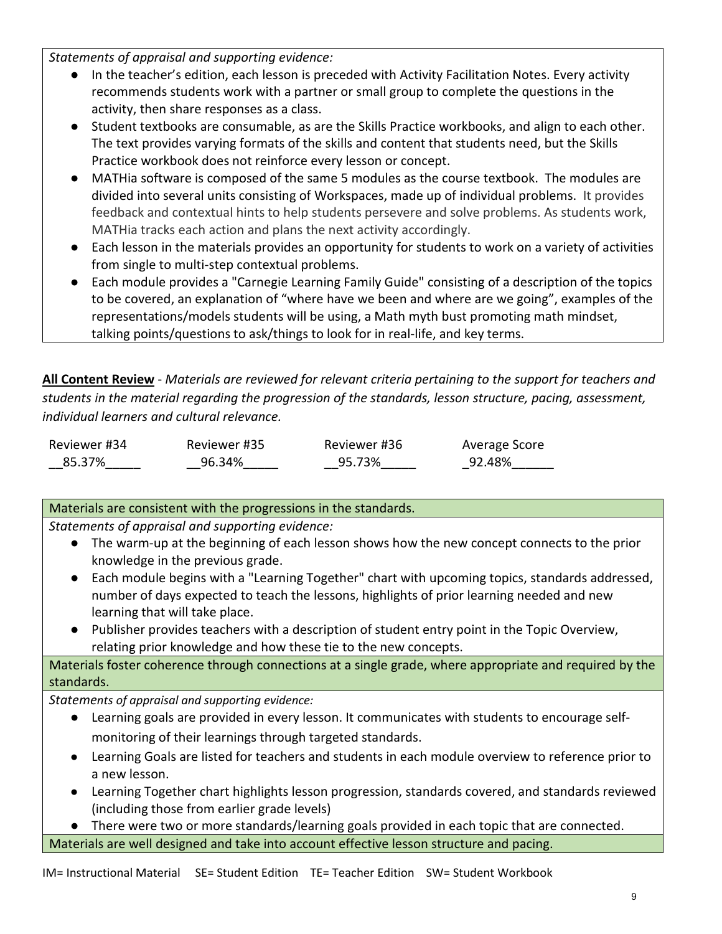*Statements of appraisal and supporting evidence:*

- In the teacher's edition, each lesson is preceded with Activity Facilitation Notes. Every activity recommends students work with a partner or small group to complete the questions in the activity, then share responses as a class.
- Student textbooks are consumable, as are the Skills Practice workbooks, and align to each other. The text provides varying formats of the skills and content that students need, but the Skills Practice workbook does not reinforce every lesson or concept.
- MATHia software is composed of the same 5 modules as the course textbook. The modules are divided into several units consisting of Workspaces, made up of individual problems. It provides feedback and contextual hints to help students persevere and solve problems. As students work, MATHia tracks each action and plans the next activity accordingly.
- Each lesson in the materials provides an opportunity for students to work on a variety of activities from single to multi-step contextual problems.
- Each module provides a "Carnegie Learning Family Guide" consisting of a description of the topics to be covered, an explanation of "where have we been and where are we going", examples of the representations/models students will be using, a Math myth bust promoting math mindset, talking points/questions to ask/things to look for in real-life, and key terms.

**All Content Review** - *Materials are reviewed for relevant criteria pertaining to the support for teachers and students in the material regarding the progression of the standards, lesson structure, pacing, assessment, individual learners and cultural relevance.*

| Reviewer #34 | Reviewer #35 | Reviewer #36 | Average Score |
|--------------|--------------|--------------|---------------|
| 85.37%       | 96.34%       | 95.73%       | 92.48%        |

## Materials are consistent with the progressions in the standards.

*Statements of appraisal and supporting evidence:*

- The warm-up at the beginning of each lesson shows how the new concept connects to the prior knowledge in the previous grade.
- Each module begins with a "Learning Together" chart with upcoming topics, standards addressed, number of days expected to teach the lessons, highlights of prior learning needed and new learning that will take place.
- Publisher provides teachers with a description of student entry point in the Topic Overview, relating prior knowledge and how these tie to the new concepts.

Materials foster coherence through connections at a single grade, where appropriate and required by the standards.

*Statements of appraisal and supporting evidence:*

- Learning goals are provided in every lesson. It communicates with students to encourage selfmonitoring of their learnings through targeted standards.
- Learning Goals are listed for teachers and students in each module overview to reference prior to a new lesson.
- Learning Together chart highlights lesson progression, standards covered, and standards reviewed (including those from earlier grade levels)

● There were two or more standards/learning goals provided in each topic that are connected. Materials are well designed and take into account effective lesson structure and pacing.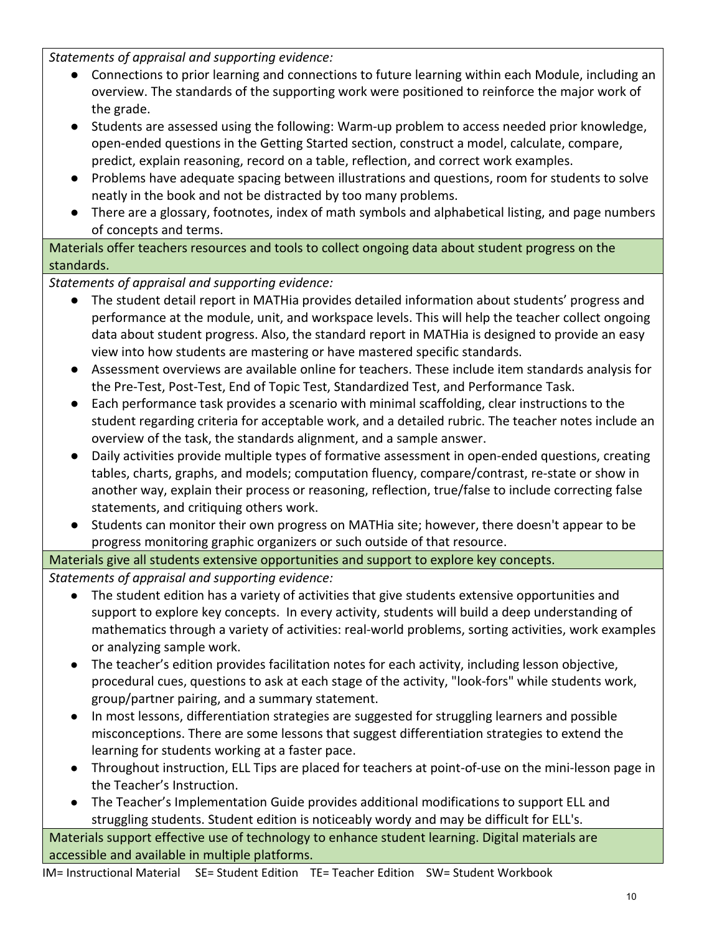*Statements of appraisal and supporting evidence:*

- Connections to prior learning and connections to future learning within each Module, including an overview. The standards of the supporting work were positioned to reinforce the major work of the grade.
- Students are assessed using the following: Warm-up problem to access needed prior knowledge, open-ended questions in the Getting Started section, construct a model, calculate, compare, predict, explain reasoning, record on a table, reflection, and correct work examples.
- Problems have adequate spacing between illustrations and questions, room for students to solve neatly in the book and not be distracted by too many problems.
- There are a glossary, footnotes, index of math symbols and alphabetical listing, and page numbers of concepts and terms.

Materials offer teachers resources and tools to collect ongoing data about student progress on the standards.

*Statements of appraisal and supporting evidence:*

- The student detail report in MATHia provides detailed information about students' progress and performance at the module, unit, and workspace levels. This will help the teacher collect ongoing data about student progress. Also, the standard report in MATHia is designed to provide an easy view into how students are mastering or have mastered specific standards.
- Assessment overviews are available online for teachers. These include item standards analysis for the Pre-Test, Post-Test, End of Topic Test, Standardized Test, and Performance Task.
- Each performance task provides a scenario with minimal scaffolding, clear instructions to the student regarding criteria for acceptable work, and a detailed rubric. The teacher notes include an overview of the task, the standards alignment, and a sample answer.
- Daily activities provide multiple types of formative assessment in open-ended questions, creating tables, charts, graphs, and models; computation fluency, compare/contrast, re-state or show in another way, explain their process or reasoning, reflection, true/false to include correcting false statements, and critiquing others work.
- Students can monitor their own progress on MATHia site; however, there doesn't appear to be progress monitoring graphic organizers or such outside of that resource.

## Materials give all students extensive opportunities and support to explore key concepts.

*Statements of appraisal and supporting evidence:*

- The student edition has a variety of activities that give students extensive opportunities and support to explore key concepts. In every activity, students will build a deep understanding of mathematics through a variety of activities: real-world problems, sorting activities, work examples or analyzing sample work.
- The teacher's edition provides facilitation notes for each activity, including lesson objective, procedural cues, questions to ask at each stage of the activity, "look-fors" while students work, group/partner pairing, and a summary statement.
- In most lessons, differentiation strategies are suggested for struggling learners and possible misconceptions. There are some lessons that suggest differentiation strategies to extend the learning for students working at a faster pace.
- Throughout instruction, ELL Tips are placed for teachers at point-of-use on the mini-lesson page in the Teacher's Instruction.
- The Teacher's Implementation Guide provides additional modifications to support ELL and struggling students. Student edition is noticeably wordy and may be difficult for ELL's.

Materials support effective use of technology to enhance student learning. Digital materials are accessible and available in multiple platforms.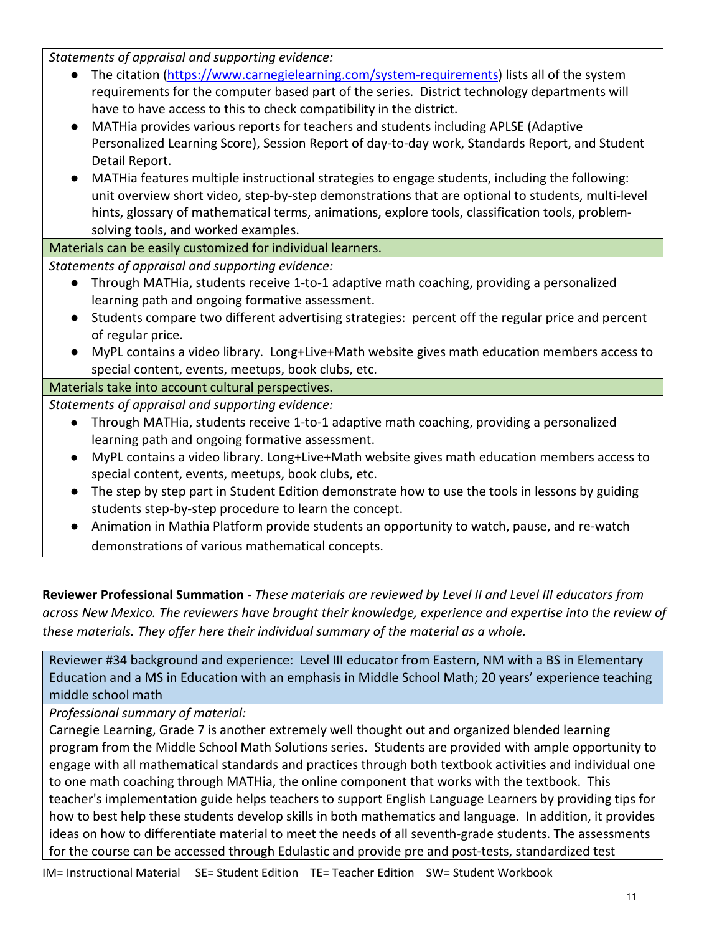*Statements of appraisal and supporting evidence:*

- The citation [\(https://www.carnegielearning.com/system-requirements\)](https://www.carnegielearning.com/system-requirements) lists all of the system requirements for the computer based part of the series. District technology departments will have to have access to this to check compatibility in the district.
- MATHia provides various reports for teachers and students including APLSE (Adaptive Personalized Learning Score), Session Report of day-to-day work, Standards Report, and Student Detail Report.
- MATHia features multiple instructional strategies to engage students, including the following: unit overview short video, step-by-step demonstrations that are optional to students, multi-level hints, glossary of mathematical terms, animations, explore tools, classification tools, problemsolving tools, and worked examples.

Materials can be easily customized for individual learners.

*Statements of appraisal and supporting evidence:*

- Through MATHia, students receive 1-to-1 adaptive math coaching, providing a personalized learning path and ongoing formative assessment.
- Students compare two different advertising strategies: percent off the regular price and percent of regular price.
- MyPL contains a video library. Long+Live+Math website gives math education members access to special content, events, meetups, book clubs, etc.

## Materials take into account cultural perspectives.

*Statements of appraisal and supporting evidence:*

- Through MATHia, students receive 1-to-1 adaptive math coaching, providing a personalized learning path and ongoing formative assessment.
- MyPL contains a video library. Long+Live+Math website gives math education members access to special content, events, meetups, book clubs, etc.
- The step by step part in Student Edition demonstrate how to use the tools in lessons by guiding students step-by-step procedure to learn the concept.
- Animation in Mathia Platform provide students an opportunity to watch, pause, and re-watch demonstrations of various mathematical concepts.

**Reviewer Professional Summation** - *These materials are reviewed by Level II and Level III educators from across New Mexico. The reviewers have brought their knowledge, experience and expertise into the review of these materials. They offer here their individual summary of the material as a whole.* 

Reviewer #34 background and experience: Level III educator from Eastern, NM with a BS in Elementary Education and a MS in Education with an emphasis in Middle School Math; 20 years' experience teaching middle school math

*Professional summary of material:*

Carnegie Learning, Grade 7 is another extremely well thought out and organized blended learning program from the Middle School Math Solutions series. Students are provided with ample opportunity to engage with all mathematical standards and practices through both textbook activities and individual one to one math coaching through MATHia, the online component that works with the textbook. This teacher's implementation guide helps teachers to support English Language Learners by providing tips for how to best help these students develop skills in both mathematics and language. In addition, it provides ideas on how to differentiate material to meet the needs of all seventh-grade students. The assessments for the course can be accessed through Edulastic and provide pre and post-tests, standardized test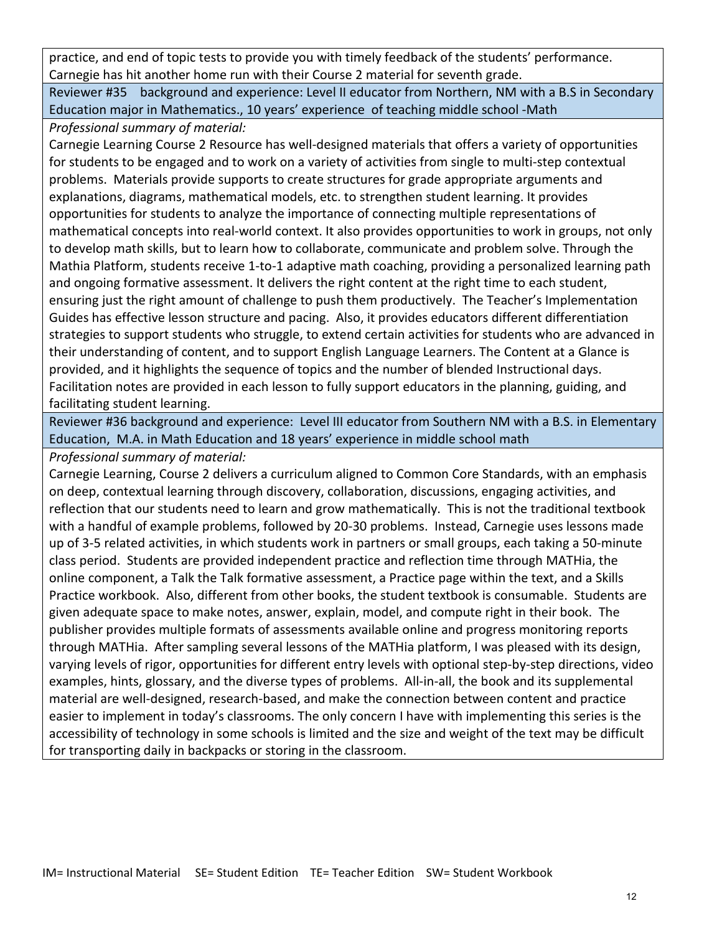practice, and end of topic tests to provide you with timely feedback of the students' performance. Carnegie has hit another home run with their Course 2 material for seventh grade.

Reviewer #35 background and experience: Level II educator from Northern, NM with a B.S in Secondary Education major in Mathematics., 10 years' experience of teaching middle school -Math

*Professional summary of material:*

Carnegie Learning Course 2 Resource has well-designed materials that offers a variety of opportunities for students to be engaged and to work on a variety of activities from single to multi-step contextual problems. Materials provide supports to create structures for grade appropriate arguments and explanations, diagrams, mathematical models, etc. to strengthen student learning. It provides opportunities for students to analyze the importance of connecting multiple representations of mathematical concepts into real-world context. It also provides opportunities to work in groups, not only to develop math skills, but to learn how to collaborate, communicate and problem solve. Through the Mathia Platform, students receive 1-to-1 adaptive math coaching, providing a personalized learning path and ongoing formative assessment. It delivers the right content at the right time to each student, ensuring just the right amount of challenge to push them productively. The Teacher's Implementation Guides has effective lesson structure and pacing. Also, it provides educators different differentiation strategies to support students who struggle, to extend certain activities for students who are advanced in their understanding of content, and to support English Language Learners. The Content at a Glance is provided, and it highlights the sequence of topics and the number of blended Instructional days. Facilitation notes are provided in each lesson to fully support educators in the planning, guiding, and facilitating student learning.

Reviewer #36 background and experience: Level III educator from Southern NM with a B.S. in Elementary Education, M.A. in Math Education and 18 years' experience in middle school math

*Professional summary of material:*

Carnegie Learning, Course 2 delivers a curriculum aligned to Common Core Standards, with an emphasis on deep, contextual learning through discovery, collaboration, discussions, engaging activities, and reflection that our students need to learn and grow mathematically. This is not the traditional textbook with a handful of example problems, followed by 20-30 problems. Instead, Carnegie uses lessons made up of 3-5 related activities, in which students work in partners or small groups, each taking a 50-minute class period. Students are provided independent practice and reflection time through MATHia, the online component, a Talk the Talk formative assessment, a Practice page within the text, and a Skills Practice workbook. Also, different from other books, the student textbook is consumable. Students are given adequate space to make notes, answer, explain, model, and compute right in their book. The publisher provides multiple formats of assessments available online and progress monitoring reports through MATHia. After sampling several lessons of the MATHia platform, I was pleased with its design, varying levels of rigor, opportunities for different entry levels with optional step-by-step directions, video examples, hints, glossary, and the diverse types of problems. All-in-all, the book and its supplemental material are well-designed, research-based, and make the connection between content and practice easier to implement in today's classrooms. The only concern I have with implementing this series is the accessibility of technology in some schools is limited and the size and weight of the text may be difficult for transporting daily in backpacks or storing in the classroom.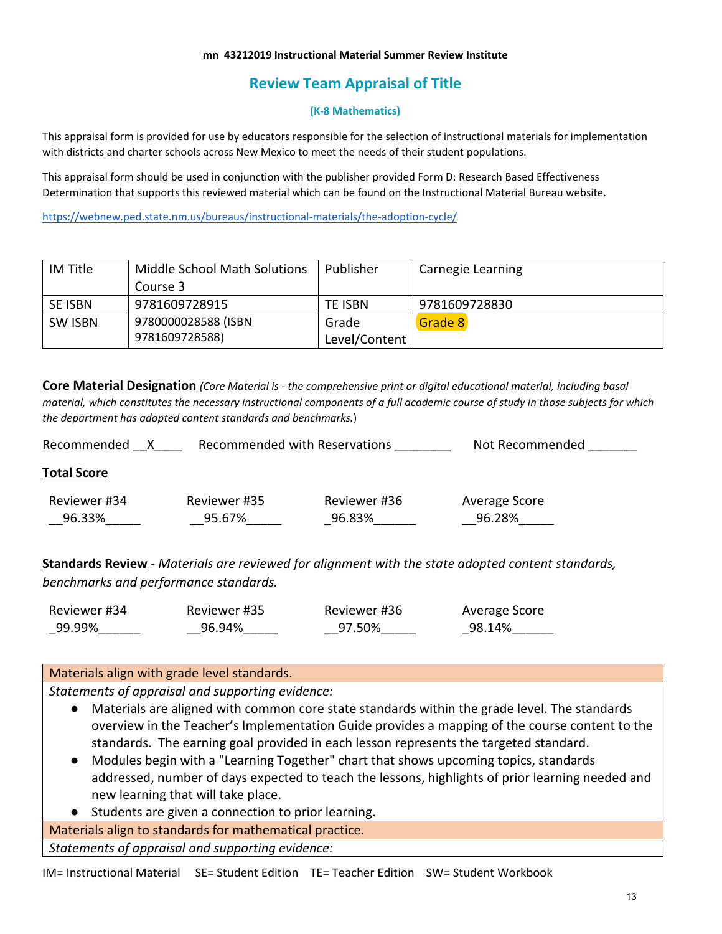#### **mn 43212019 Instructional Material Summer Review Institute**

# **Review Team Appraisal of Title**

#### **(K-8 Mathematics)**

This appraisal form is provided for use by educators responsible for the selection of instructional materials for implementation with districts and charter schools across New Mexico to meet the needs of their student populations.

This appraisal form should be used in conjunction with the publisher provided Form D: Research Based Effectiveness Determination that supports this reviewed material which can be found on the Instructional Material Bureau website.

<https://webnew.ped.state.nm.us/bureaus/instructional-materials/the-adoption-cycle/>

| IM Title       | <b>Middle School Math Solutions</b> | Publisher     | Carnegie Learning |
|----------------|-------------------------------------|---------------|-------------------|
|                | Course 3                            |               |                   |
| SE ISBN        | 9781609728915                       | TE ISBN       | 9781609728830     |
| <b>SW ISBN</b> | 9780000028588 (ISBN                 | Grade         | Grade 8           |
|                | 9781609728588)                      | Level/Content |                   |

**Core Material Designation** *(Core Material is - the comprehensive print or digital educational material, including basal material, which constitutes the necessary instructional components of a full academic course of study in those subjects for which the department has adopted content standards and benchmarks.*)

| Recommended with Reservations<br>Recommended |              |              | Not Recommended |
|----------------------------------------------|--------------|--------------|-----------------|
| <b>Total Score</b>                           |              |              |                 |
| Reviewer #34                                 | Reviewer #35 | Reviewer #36 | Average Score   |
| 96.33%                                       | 95.67%       | 96.83%       | 96.28%          |
|                                              |              |              |                 |

**Standards Review** - *Materials are reviewed for alignment with the state adopted content standards, benchmarks and performance standards.*

| Reviewer #34 | Reviewer #35 | Reviewer #36 | Average Score |
|--------------|--------------|--------------|---------------|
| 99.99%       | 96.94%       | 97.50%       | 98.14%        |

#### Materials align with grade level standards.

*Statements of appraisal and supporting evidence:*

- Materials are aligned with common core state standards within the grade level. The standards overview in the Teacher's Implementation Guide provides a mapping of the course content to the standards. The earning goal provided in each lesson represents the targeted standard.
- Modules begin with a "Learning Together" chart that shows upcoming topics, standards addressed, number of days expected to teach the lessons, highlights of prior learning needed and new learning that will take place.
- Students are given a connection to prior learning.

Materials align to standards for mathematical practice.

*Statements of appraisal and supporting evidence:*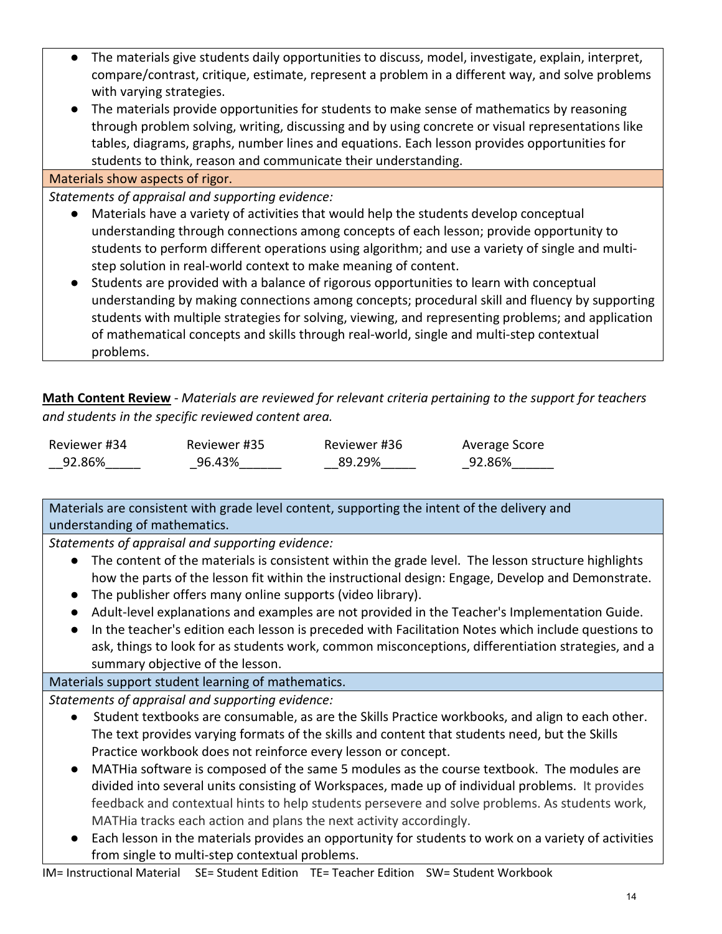- The materials give students daily opportunities to discuss, model, investigate, explain, interpret, compare/contrast, critique, estimate, represent a problem in a different way, and solve problems with varying strategies.
- The materials provide opportunities for students to make sense of mathematics by reasoning through problem solving, writing, discussing and by using concrete or visual representations like tables, diagrams, graphs, number lines and equations. Each lesson provides opportunities for students to think, reason and communicate their understanding.

#### Materials show aspects of rigor.

*Statements of appraisal and supporting evidence:*

- Materials have a variety of activities that would help the students develop conceptual understanding through connections among concepts of each lesson; provide opportunity to students to perform different operations using algorithm; and use a variety of single and multistep solution in real-world context to make meaning of content.
- Students are provided with a balance of rigorous opportunities to learn with conceptual understanding by making connections among concepts; procedural skill and fluency by supporting students with multiple strategies for solving, viewing, and representing problems; and application of mathematical concepts and skills through real-world, single and multi-step contextual problems.

**Math Content Review** - *Materials are reviewed for relevant criteria pertaining to the support for teachers and students in the specific reviewed content area.*

| Reviewer #34 | Reviewer #35 | Reviewer #36 | Average Score |
|--------------|--------------|--------------|---------------|
| 92.86%       | 96.43%       | 89.29%       | 92.86%        |

Materials are consistent with grade level content, supporting the intent of the delivery and understanding of mathematics.

*Statements of appraisal and supporting evidence:*

- The content of the materials is consistent within the grade level. The lesson structure highlights how the parts of the lesson fit within the instructional design: Engage, Develop and Demonstrate.
- The publisher offers many online supports (video library).
- Adult-level explanations and examples are not provided in the Teacher's Implementation Guide.
- In the teacher's edition each lesson is preceded with Facilitation Notes which include questions to ask, things to look for as students work, common misconceptions, differentiation strategies, and a summary objective of the lesson.

## Materials support student learning of mathematics.

*Statements of appraisal and supporting evidence:*

- Student textbooks are consumable, as are the Skills Practice workbooks, and align to each other. The text provides varying formats of the skills and content that students need, but the Skills Practice workbook does not reinforce every lesson or concept.
- MATHia software is composed of the same 5 modules as the course textbook. The modules are divided into several units consisting of Workspaces, made up of individual problems. It provides feedback and contextual hints to help students persevere and solve problems. As students work, MATHia tracks each action and plans the next activity accordingly.
- Each lesson in the materials provides an opportunity for students to work on a variety of activities from single to multi-step contextual problems.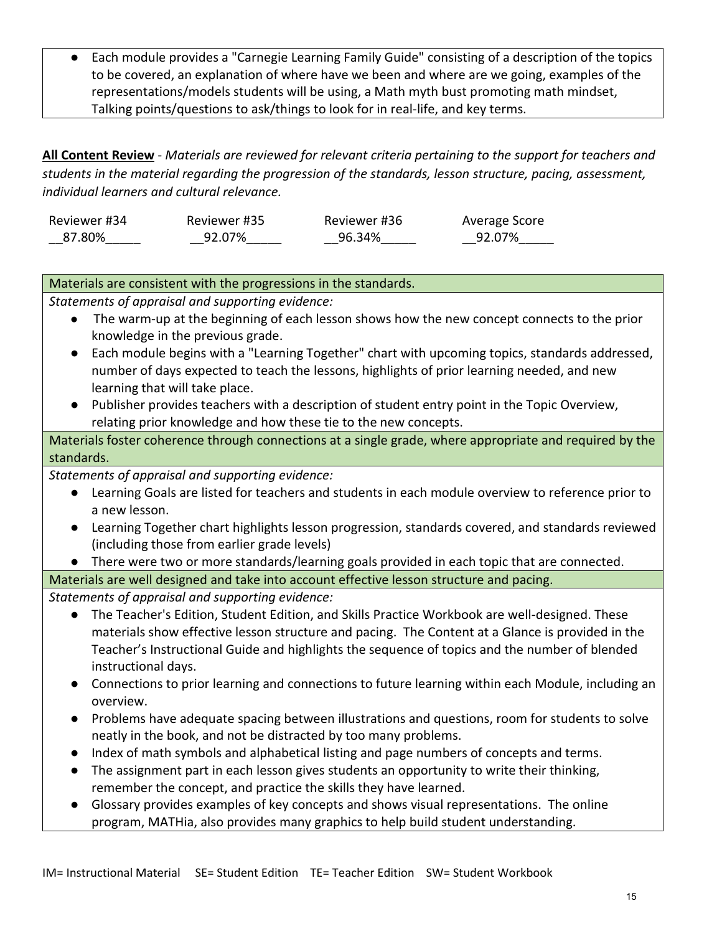Each module provides a "Carnegie Learning Family Guide" consisting of a description of the topics to be covered, an explanation of where have we been and where are we going, examples of the representations/models students will be using, a Math myth bust promoting math mindset, Talking points/questions to ask/things to look for in real-life, and key terms.

**All Content Review** - *Materials are reviewed for relevant criteria pertaining to the support for teachers and students in the material regarding the progression of the standards, lesson structure, pacing, assessment, individual learners and cultural relevance.*

| Reviewer #34 | Reviewer #35 | Reviewer #36 | Average Score |
|--------------|--------------|--------------|---------------|
| 87.80%       | 92.07%       | 96.34%       | 92.07%        |

## Materials are consistent with the progressions in the standards.

*Statements of appraisal and supporting evidence:*

- The warm-up at the beginning of each lesson shows how the new concept connects to the prior knowledge in the previous grade.
- Each module begins with a "Learning Together" chart with upcoming topics, standards addressed, number of days expected to teach the lessons, highlights of prior learning needed, and new learning that will take place.
- Publisher provides teachers with a description of student entry point in the Topic Overview, relating prior knowledge and how these tie to the new concepts.

Materials foster coherence through connections at a single grade, where appropriate and required by the standards.

*Statements of appraisal and supporting evidence:*

- Learning Goals are listed for teachers and students in each module overview to reference prior to a new lesson.
- Learning Together chart highlights lesson progression, standards covered, and standards reviewed (including those from earlier grade levels)
- There were two or more standards/learning goals provided in each topic that are connected.

Materials are well designed and take into account effective lesson structure and pacing.

- The Teacher's Edition, Student Edition, and Skills Practice Workbook are well-designed. These materials show effective lesson structure and pacing. The Content at a Glance is provided in the Teacher's Instructional Guide and highlights the sequence of topics and the number of blended instructional days.
- Connections to prior learning and connections to future learning within each Module, including an overview.
- Problems have adequate spacing between illustrations and questions, room for students to solve neatly in the book, and not be distracted by too many problems.
- Index of math symbols and alphabetical listing and page numbers of concepts and terms.
- The assignment part in each lesson gives students an opportunity to write their thinking, remember the concept, and practice the skills they have learned.
- Glossary provides examples of key concepts and shows visual representations. The online program, MATHia, also provides many graphics to help build student understanding.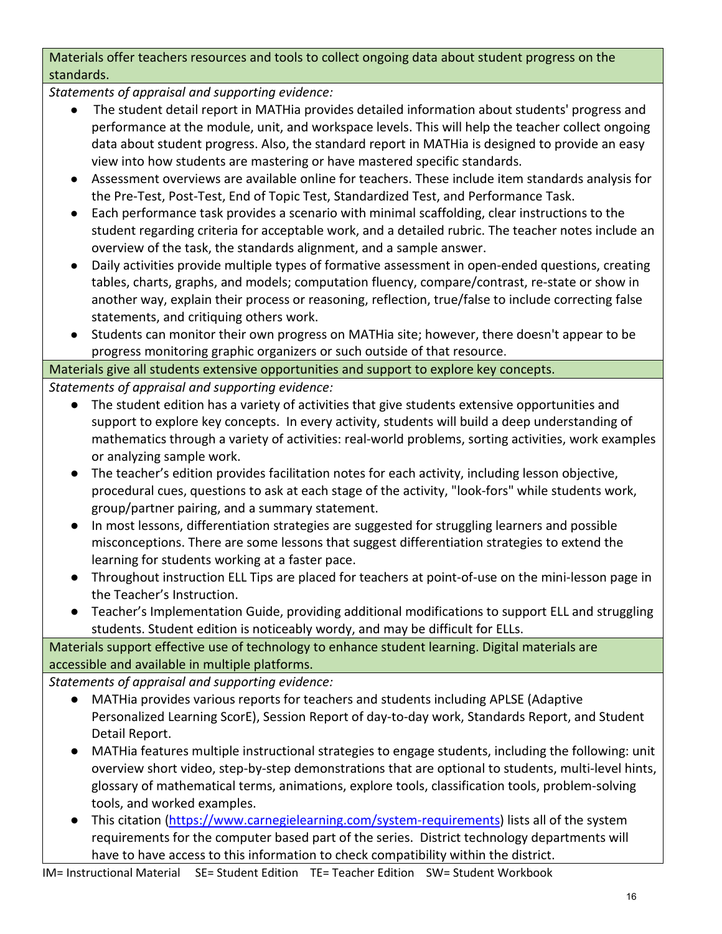Materials offer teachers resources and tools to collect ongoing data about student progress on the standards.

*Statements of appraisal and supporting evidence:*

- The student detail report in MATHia provides detailed information about students' progress and performance at the module, unit, and workspace levels. This will help the teacher collect ongoing data about student progress. Also, the standard report in MATHia is designed to provide an easy view into how students are mastering or have mastered specific standards.
- Assessment overviews are available online for teachers. These include item standards analysis for the Pre-Test, Post-Test, End of Topic Test, Standardized Test, and Performance Task.
- Each performance task provides a scenario with minimal scaffolding, clear instructions to the student regarding criteria for acceptable work, and a detailed rubric. The teacher notes include an overview of the task, the standards alignment, and a sample answer.
- Daily activities provide multiple types of formative assessment in open-ended questions, creating tables, charts, graphs, and models; computation fluency, compare/contrast, re-state or show in another way, explain their process or reasoning, reflection, true/false to include correcting false statements, and critiquing others work.
- Students can monitor their own progress on MATHia site; however, there doesn't appear to be progress monitoring graphic organizers or such outside of that resource.

## Materials give all students extensive opportunities and support to explore key concepts. *Statements of appraisal and supporting evidence:*

- The student edition has a variety of activities that give students extensive opportunities and support to explore key concepts. In every activity, students will build a deep understanding of mathematics through a variety of activities: real-world problems, sorting activities, work examples or analyzing sample work.
- The teacher's edition provides facilitation notes for each activity, including lesson objective, procedural cues, questions to ask at each stage of the activity, "look-fors" while students work, group/partner pairing, and a summary statement.
- In most lessons, differentiation strategies are suggested for struggling learners and possible misconceptions. There are some lessons that suggest differentiation strategies to extend the learning for students working at a faster pace.
- Throughout instruction ELL Tips are placed for teachers at point-of-use on the mini-lesson page in the Teacher's Instruction.
- Teacher's Implementation Guide, providing additional modifications to support ELL and struggling students. Student edition is noticeably wordy, and may be difficult for ELLs.

# Materials support effective use of technology to enhance student learning. Digital materials are accessible and available in multiple platforms.

*Statements of appraisal and supporting evidence:*

- MATHia provides various reports for teachers and students including APLSE (Adaptive Personalized Learning ScorE), Session Report of day-to-day work, Standards Report, and Student Detail Report.
- MATHia features multiple instructional strategies to engage students, including the following: unit overview short video, step-by-step demonstrations that are optional to students, multi-level hints, glossary of mathematical terms, animations, explore tools, classification tools, problem-solving tools, and worked examples.
- This citation [\(https://www.carnegielearning.com/system-requirements\)](https://www.carnegielearning.com/system-requirements) lists all of the system requirements for the computer based part of the series. District technology departments will have to have access to this information to check compatibility within the district.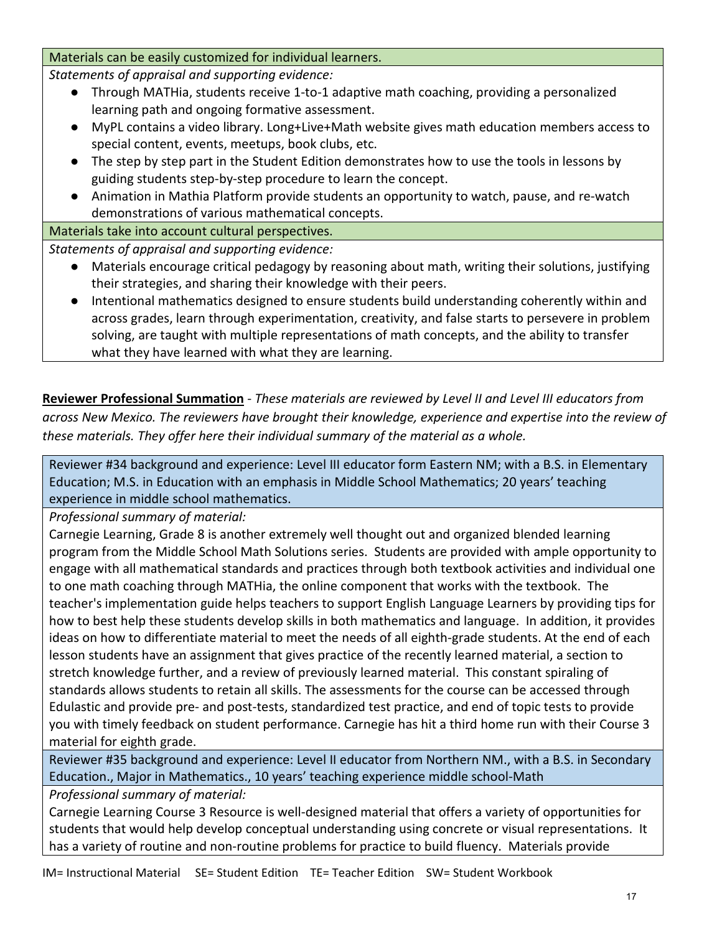Materials can be easily customized for individual learners.

*Statements of appraisal and supporting evidence:*

- Through MATHia, students receive 1-to-1 adaptive math coaching, providing a personalized learning path and ongoing formative assessment.
- MyPL contains a video library. Long+Live+Math website gives math education members access to special content, events, meetups, book clubs, etc.
- The step by step part in the Student Edition demonstrates how to use the tools in lessons by guiding students step-by-step procedure to learn the concept.
- Animation in Mathia Platform provide students an opportunity to watch, pause, and re-watch demonstrations of various mathematical concepts.

## Materials take into account cultural perspectives.

*Statements of appraisal and supporting evidence:*

- Materials encourage critical pedagogy by reasoning about math, writing their solutions, justifying their strategies, and sharing their knowledge with their peers.
- Intentional mathematics designed to ensure students build understanding coherently within and across grades, learn through experimentation, creativity, and false starts to persevere in problem solving, are taught with multiple representations of math concepts, and the ability to transfer what they have learned with what they are learning.

**Reviewer Professional Summation** - *These materials are reviewed by Level II and Level III educators from across New Mexico. The reviewers have brought their knowledge, experience and expertise into the review of these materials. They offer here their individual summary of the material as a whole.* 

Reviewer #34 background and experience: Level III educator form Eastern NM; with a B.S. in Elementary Education; M.S. in Education with an emphasis in Middle School Mathematics; 20 years' teaching experience in middle school mathematics.

*Professional summary of material:*

Carnegie Learning, Grade 8 is another extremely well thought out and organized blended learning program from the Middle School Math Solutions series. Students are provided with ample opportunity to engage with all mathematical standards and practices through both textbook activities and individual one to one math coaching through MATHia, the online component that works with the textbook. The teacher's implementation guide helps teachers to support English Language Learners by providing tips for how to best help these students develop skills in both mathematics and language. In addition, it provides ideas on how to differentiate material to meet the needs of all eighth-grade students. At the end of each lesson students have an assignment that gives practice of the recently learned material, a section to stretch knowledge further, and a review of previously learned material. This constant spiraling of standards allows students to retain all skills. The assessments for the course can be accessed through Edulastic and provide pre- and post-tests, standardized test practice, and end of topic tests to provide you with timely feedback on student performance. Carnegie has hit a third home run with their Course 3 material for eighth grade.

Reviewer #35 background and experience: Level II educator from Northern NM., with a B.S. in Secondary Education., Major in Mathematics., 10 years' teaching experience middle school-Math

*Professional summary of material:*

Carnegie Learning Course 3 Resource is well-designed material that offers a variety of opportunities for students that would help develop conceptual understanding using concrete or visual representations. It has a variety of routine and non-routine problems for practice to build fluency. Materials provide